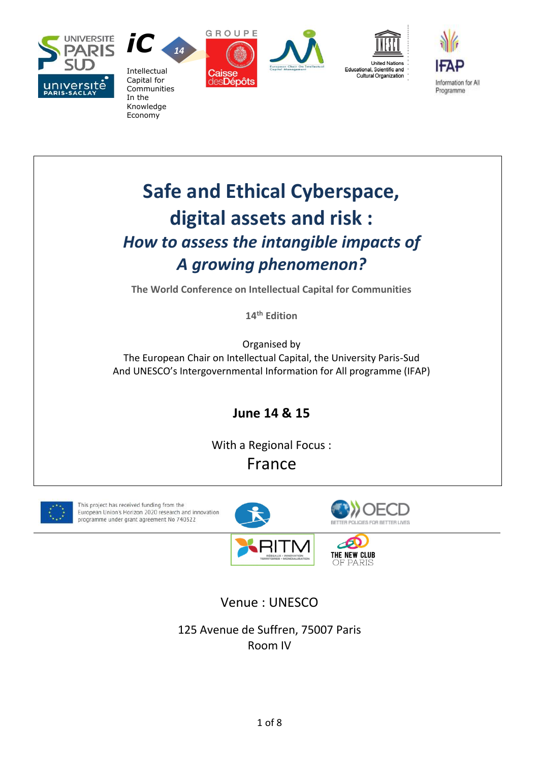



Economy







# **Safe and Ethical Cyberspace, digital assets and risk :** *How to assess the intangible impacts of A growing phenomenon?*

**The World Conference on Intellectual Capital for Communities**

**14 th Edition**

Organised by The European Chair on Intellectual Capital, the University Paris-Sud And UNESCO's Intergovernmental Information for All programme (IFAP)

**June 14 & 15**

With a Regional Focus : France

This project has received funding from the European Union's Horizon 2020 research and innovation programme under grant agreement No 740322









OF PARIS

Venue : UNESCO

125 Avenue de Suffren, 75007 Paris Room IV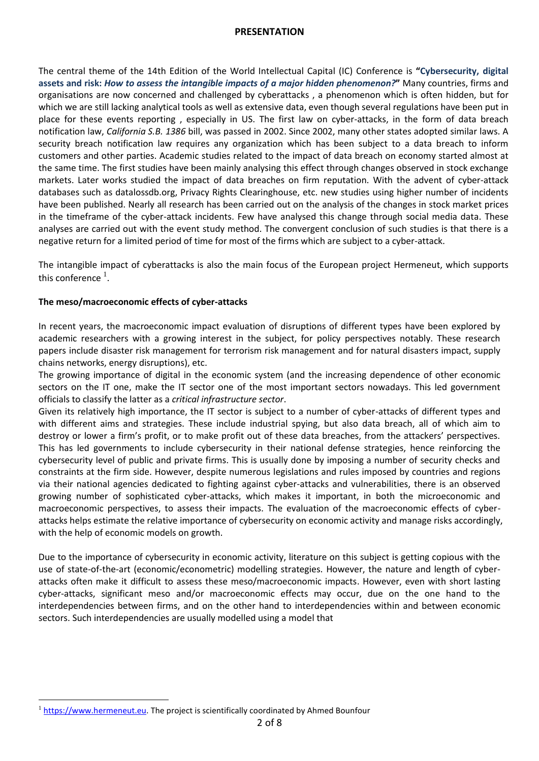#### **PRESENTATION**

The central theme of the 14th Edition of the World Intellectual Capital (IC) Conference is **"Cybersecurity, digital assets and risk:** *How to assess the intangible impacts of a major hidden phenomenon?***"** Many countries, firms and organisations are now concerned and challenged by cyberattacks , a phenomenon which is often hidden, but for which we are still lacking analytical tools as well as extensive data, even though several regulations have been put in place for these events reporting , especially in US. The first law on cyber-attacks, in the form of data breach notification law, *California S.B. 1386* bill, was passed in 2002. Since 2002, many other states adopted similar laws. A security breach notification law requires any organization which has been subject to a data breach to inform customers and other parties. Academic studies related to the impact of data breach on economy started almost at the same time. The first studies have been mainly analysing this effect through changes observed in stock exchange markets. Later works studied the impact of data breaches on firm reputation. With the advent of cyber-attack databases such as datalossdb.org, Privacy Rights Clearinghouse, etc. new studies using higher number of incidents have been published. Nearly all research has been carried out on the analysis of the changes in stock market prices in the timeframe of the cyber-attack incidents. Few have analysed this change through social media data. These analyses are carried out with the event study method. The convergent conclusion of such studies is that there is a negative return for a limited period of time for most of the firms which are subject to a cyber-attack.

The intangible impact of cyberattacks is also the main focus of the European project Hermeneut, which supports this conference  $^{\rm 1}.$ 

#### **The meso/macroeconomic effects of cyber-attacks**

In recent years, the macroeconomic impact evaluation of disruptions of different types have been explored by academic researchers with a growing interest in the subject, for policy perspectives notably. These research papers include disaster risk management for terrorism risk management and for natural disasters impact, supply chains networks, energy disruptions), etc.

The growing importance of digital in the economic system (and the increasing dependence of other economic sectors on the IT one, make the IT sector one of the most important sectors nowadays. This led government officials to classify the latter as a *critical infrastructure sector*.

Given its relatively high importance, the IT sector is subject to a number of cyber-attacks of different types and with different aims and strategies. These include industrial spying, but also data breach, all of which aim to destroy or lower a firm's profit, or to make profit out of these data breaches, from the attackers' perspectives. This has led governments to include cybersecurity in their national defense strategies, hence reinforcing the cybersecurity level of public and private firms. This is usually done by imposing a number of security checks and constraints at the firm side. However, despite numerous legislations and rules imposed by countries and regions via their national agencies dedicated to fighting against cyber-attacks and vulnerabilities, there is an observed growing number of sophisticated cyber-attacks, which makes it important, in both the microeconomic and macroeconomic perspectives, to assess their impacts. The evaluation of the macroeconomic effects of cyberattacks helps estimate the relative importance of cybersecurity on economic activity and manage risks accordingly, with the help of economic models on growth.

Due to the importance of cybersecurity in economic activity, literature on this subject is getting copious with the use of state-of-the-art (economic/econometric) modelling strategies. However, the nature and length of cyberattacks often make it difficult to assess these meso/macroeconomic impacts. However, even with short lasting cyber-attacks, significant meso and/or macroeconomic effects may occur, due on the one hand to the interdependencies between firms, and on the other hand to interdependencies within and between economic sectors. Such interdependencies are usually modelled using a model that

 $\overline{a}$ <sup>1</sup> [https://www.hermeneut.eu.](https://www.hermeneut.eu/) The project is scientifically coordinated by Ahmed Bounfour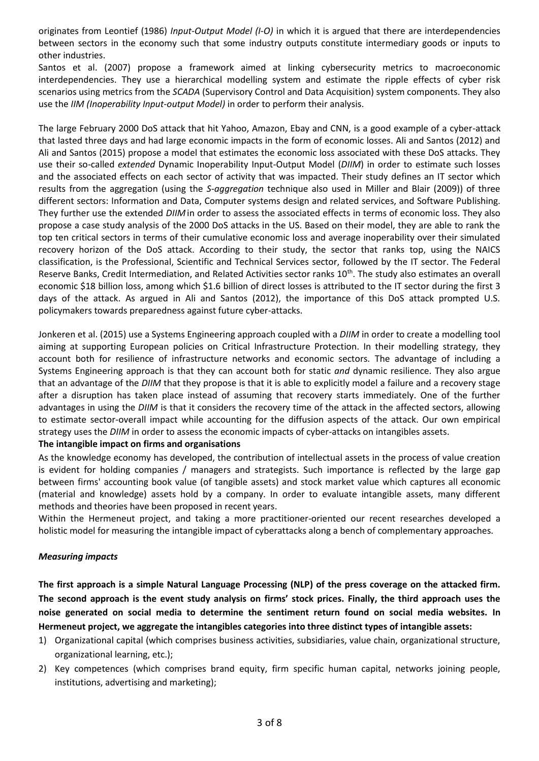originates from Leontief (1986) *Input-Output Model (I-O)* in which it is argued that there are interdependencies between sectors in the economy such that some industry outputs constitute intermediary goods or inputs to other industries.

Santos et al. (2007) propose a framework aimed at linking cybersecurity metrics to macroeconomic interdependencies. They use a hierarchical modelling system and estimate the ripple effects of cyber risk scenarios using metrics from the *SCADA* (Supervisory Control and Data Acquisition) system components. They also use the *IIM (Inoperability Input-output Model)* in order to perform their analysis.

The large February 2000 DoS attack that hit Yahoo, Amazon, Ebay and CNN, is a good example of a cyber-attack that lasted three days and had large economic impacts in the form of economic losses. Ali and Santos (2012) and Ali and Santos (2015) propose a model that estimates the economic loss associated with these DoS attacks. They use their so-called *extended* Dynamic Inoperability Input-Output Model (*DIIM*) in order to estimate such losses and the associated effects on each sector of activity that was impacted. Their study defines an IT sector which results from the aggregation (using the *S-aggregation* technique also used in Miller and Blair (2009)) of three different sectors: Information and Data, Computer systems design and related services, and Software Publishing. They further use the extended *DIIM* in order to assess the associated effects in terms of economic loss. They also propose a case study analysis of the 2000 DoS attacks in the US. Based on their model, they are able to rank the top ten critical sectors in terms of their cumulative economic loss and average inoperability over their simulated recovery horizon of the DoS attack. According to their study, the sector that ranks top, using the NAICS classification, is the Professional, Scientific and Technical Services sector, followed by the IT sector. The Federal Reserve Banks, Credit Intermediation, and Related Activities sector ranks 10<sup>th</sup>. The study also estimates an overall economic \$18 billion loss, among which \$1.6 billion of direct losses is attributed to the IT sector during the first 3 days of the attack. As argued in Ali and Santos (2012), the importance of this DoS attack prompted U.S. policymakers towards preparedness against future cyber-attacks.

Jonkeren et al. (2015) use a Systems Engineering approach coupled with a *DIIM* in order to create a modelling tool aiming at supporting European policies on Critical Infrastructure Protection. In their modelling strategy, they account both for resilience of infrastructure networks and economic sectors. The advantage of including a Systems Engineering approach is that they can account both for static *and* dynamic resilience. They also argue that an advantage of the *DIIM* that they propose is that it is able to explicitly model a failure and a recovery stage after a disruption has taken place instead of assuming that recovery starts immediately. One of the further advantages in using the *DIIM* is that it considers the recovery time of the attack in the affected sectors, allowing to estimate sector-overall impact while accounting for the diffusion aspects of the attack. Our own empirical strategy uses the *DIIM* in order to assess the economic impacts of cyber-attacks on intangibles assets.

#### **The intangible impact on firms and organisations**

As the knowledge economy has developed, the contribution of intellectual assets in the process of value creation is evident for holding companies / managers and strategists. Such importance is reflected by the large gap between firms' accounting book value (of tangible assets) and stock market value which captures all economic (material and knowledge) assets hold by a company. In order to evaluate intangible assets, many different methods and theories have been proposed in recent years.

Within the Hermeneut project, and taking a more practitioner-oriented our recent researches developed a holistic model for measuring the intangible impact of cyberattacks along a bench of complementary approaches.

#### *Measuring impacts*

**The first approach is a simple Natural Language Processing (NLP) of the press coverage on the attacked firm. The second approach is the event study analysis on firms' stock prices. Finally, the third approach uses the noise generated on social media to determine the sentiment return found on social media websites. In Hermeneut project, we aggregate the intangibles categories into three distinct types of intangible assets:**

- 1) Organizational capital (which comprises business activities, subsidiaries, value chain, organizational structure, organizational learning, etc.);
- 2) Key competences (which comprises brand equity, firm specific human capital, networks joining people, institutions, advertising and marketing);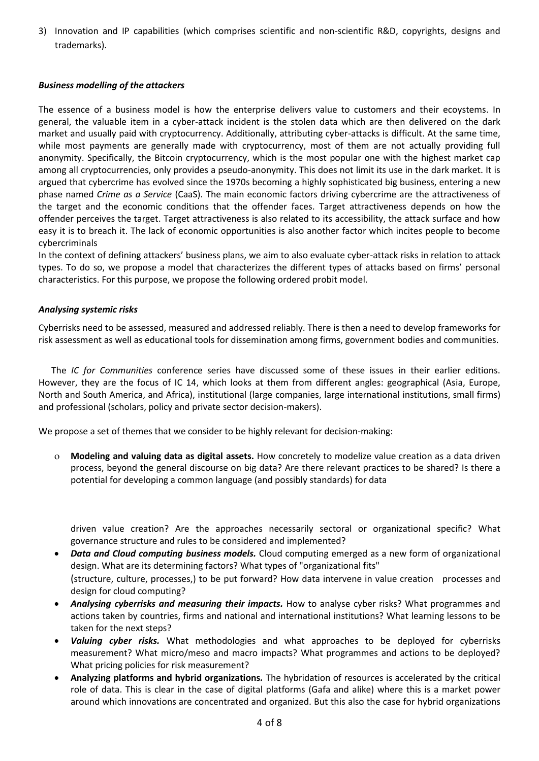3) Innovation and IP capabilities (which comprises scientific and non-scientific R&D, copyrights, designs and trademarks).

#### *Business modelling of the attackers*

The essence of a business model is how the enterprise delivers value to customers and their ecoystems. In general, the valuable item in a cyber-attack incident is the stolen data which are then delivered on the dark market and usually paid with cryptocurrency. Additionally, attributing cyber-attacks is difficult. At the same time, while most payments are generally made with cryptocurrency, most of them are not actually providing full anonymity. Specifically, the Bitcoin cryptocurrency, which is the most popular one with the highest market cap among all cryptocurrencies, only provides a pseudo-anonymity. This does not limit its use in the dark market. It is argued that cybercrime has evolved since the 1970s becoming a highly sophisticated big business, entering a new phase named *Crime as a Service* (CaaS). The main economic factors driving cybercrime are the attractiveness of the target and the economic conditions that the offender faces. Target attractiveness depends on how the offender perceives the target. Target attractiveness is also related to its accessibility, the attack surface and how easy it is to breach it. The lack of economic opportunities is also another factor which incites people to become cybercriminals

In the context of defining attackers' business plans, we aim to also evaluate cyber-attack risks in relation to attack types. To do so, we propose a model that characterizes the different types of attacks based on firms' personal characteristics. For this purpose, we propose the following ordered probit model.

#### *Analysing systemic risks*

Cyberrisks need to be assessed, measured and addressed reliably. There is then a need to develop frameworks for risk assessment as well as educational tools for dissemination among firms, government bodies and communities.

The *IC for Communities* conference series have discussed some of these issues in their earlier editions. However, they are the focus of IC 14, which looks at them from different angles: geographical (Asia, Europe, North and South America, and Africa), institutional (large companies, large international institutions, small firms) and professional (scholars, policy and private sector decision-makers).

We propose a set of themes that we consider to be highly relevant for decision-making:

 **Modeling and valuing data as digital assets.** How concretely to modelize value creation as a data driven process, beyond the general discourse on big data? Are there relevant practices to be shared? Is there a potential for developing a common language (and possibly standards) for data

driven value creation? Are the approaches necessarily sectoral or organizational specific? What governance structure and rules to be considered and implemented?

- *Data and Cloud computing business models.* Cloud computing emerged as a new form of organizational design. What are its determining factors? What types of "organizational fits" (structure, culture, processes,) to be put forward? How data intervene in value creation processes and design for cloud computing?
- **Analysing cyberrisks and measuring their impacts.** How to analyse cyber risks? What programmes and actions taken by countries, firms and national and international institutions? What learning lessons to be taken for the next steps?
- *Valuing cyber risks.* What methodologies and what approaches to be deployed for cyberrisks measurement? What micro/meso and macro impacts? What programmes and actions to be deployed? What pricing policies for risk measurement?
- **Analyzing platforms and hybrid organizations***.* The hybridation of resources is accelerated by the critical role of data. This is clear in the case of digital platforms (Gafa and alike) where this is a market power around which innovations are concentrated and organized. But this also the case for hybrid organizations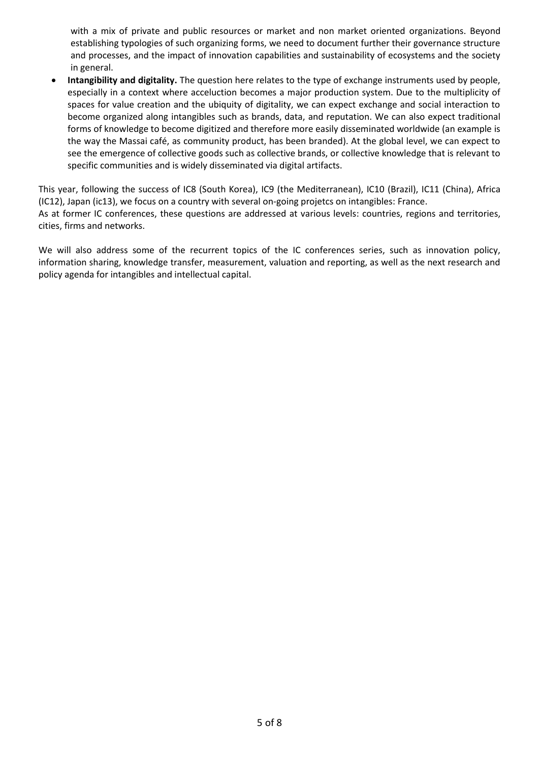with a mix of private and public resources or market and non market oriented organizations. Beyond establishing typologies of such organizing forms, we need to document further their governance structure and processes, and the impact of innovation capabilities and sustainability of ecosystems and the society in general.

• **Intangibility and digitality.** The question here relates to the type of exchange instruments used by people, especially in a context where acceluction becomes a major production system. Due to the multiplicity of spaces for value creation and the ubiquity of digitality, we can expect exchange and social interaction to become organized along intangibles such as brands, data, and reputation. We can also expect traditional forms of knowledge to become digitized and therefore more easily disseminated worldwide (an example is the way the Massai café, as community product, has been branded). At the global level, we can expect to see the emergence of collective goods such as collective brands, or collective knowledge that is relevant to specific communities and is widely disseminated via digital artifacts.

This year, following the success of IC8 (South Korea), IC9 (the Mediterranean), IC10 (Brazil), IC11 (China), Africa (IC12), Japan (ic13), we focus on a country with several on-going projetcs on intangibles: France. As at former IC conferences, these questions are addressed at various levels: countries, regions and territories,

cities, firms and networks.

We will also address some of the recurrent topics of the IC conferences series, such as innovation policy, information sharing, knowledge transfer, measurement, valuation and reporting, as well as the next research and policy agenda for intangibles and intellectual capital.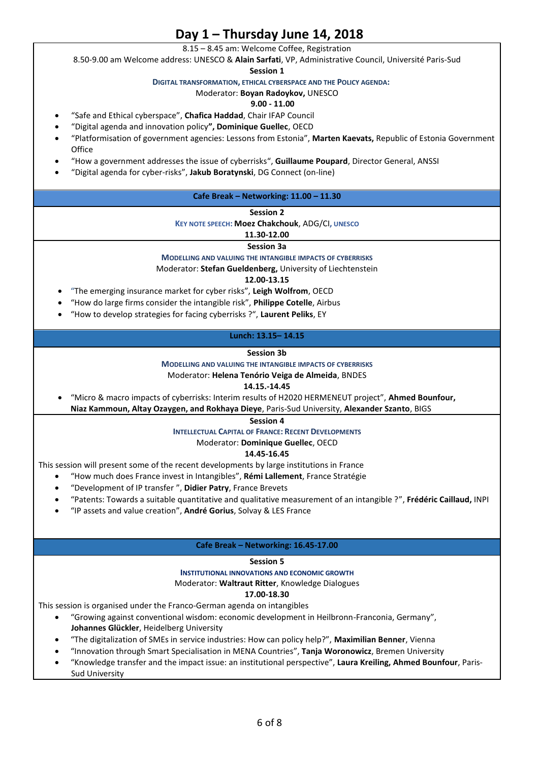## **Day 1 – Thursday June 14, 2018**

8.15 – 8.45 am: Welcome Coffee, Registration

8.50-9.00 am Welcome address: UNESCO & **Alain Sarfati**, VP, Administrative Council, Université Paris-Sud

**Session 1**

**DIGITAL TRANSFORMATION, ETHICAL CYBERSPACE AND THE POLICY AGENDA:**

#### Moderator: **Boyan Radoykov,** UNESCO

#### **9.00 - 11.00**

- "Safe and Ethical cyberspace", **Chafica Haddad**, Chair IFAP Council
- "Digital agenda and innovation policy**", Dominique Guellec**, OECD
- "Platformisation of government agencies: Lessons from Estonia", **Marten Kaevats,** Republic of Estonia Government **Office**
- "How a government addresses the issue of cyberrisks", **Guillaume Poupard**, Director General, ANSSI
- "Digital agenda for cyber-risks", **Jakub Boratynski**, DG Connect (on-line)

#### **Cafe Break – Networking: 11.00 – 11.30**

**Session 2**

#### **KEY NOTE SPEECH: Moez Chakchouk**, ADG/CI**, UNESCO**

#### **11.30-12.00**

**Session 3a**

**MODELLING AND VALUING THE INTANGIBLE IMPACTS OF CYBERRISKS**

Moderator: **Stefan Gueldenberg,** University of Liechtenstein

**12.00-13.15**

- "The emerging insurance market for cyber risks", **Leigh Wolfrom**, OECD
- "How do large firms consider the intangible risk", **Philippe Cotelle**, Airbus
- "How to develop strategies for facing cyberrisks ?", **Laurent Peliks**, EY

#### **Lunch: 13.15– 14.15**

#### **Session 3b**

**MODELLING AND VALUING THE INTANGIBLE IMPACTS OF CYBERRISKS**

#### Moderator: **Helena Tenório Veiga de Almeida**, BNDES

#### **14.15.-14.45**

• "Micro & macro impacts of cyberrisks: Interim results of H2020 HERMENEUT project", **Ahmed Bounfour,** 

**Niaz Kammoun, Altay Ozaygen, and Rokhaya Dieye**, Paris-Sud University, **Alexander Szanto**, BIGS

**Session 4**

**INTELLECTUAL CAPITAL OF FRANCE: RECENT DEVELOPMENTS**

#### Moderator: **Dominique Guellec**, OECD

#### **14.45-16.45**

This session will present some of the recent developments by large institutions in France

- "How much does France invest in Intangibles", **Rémi Lallement**, France Stratégie
- "Development of IP transfer ", **Didier Patry**, France Brevets
- "Patents: Towards a suitable quantitative and qualitative measurement of an intangible ?", **Frédéric Caillaud,** INPI
- "IP assets and value creation", **André Gorius**, Solvay & LES France

#### **Cafe Break – Networking: 16.45-17.00**

#### **Session 5**

**INSTITUTIONAL INNOVATIONS AND ECONOMIC GROWTH** 

Moderator: **Waltraut Ritter**, Knowledge Dialogues

#### **17.00-18.30**

This session is organised under the Franco-German agenda on intangibles

- "Growing against conventional wisdom: economic development in Heilbronn-Franconia, Germany", **Johannes Glückler**, Heidelberg University
- "The digitalization of SMEs in service industries: How can policy help?", **Maximilian Benner**, Vienna
- "Innovation through Smart Specialisation in MENA Countries", **Tanja Woronowicz**, Bremen University
- "Knowledge transfer and the impact issue: an institutional perspective", **Laura Kreiling, Ahmed Bounfour**, Paris-Sud University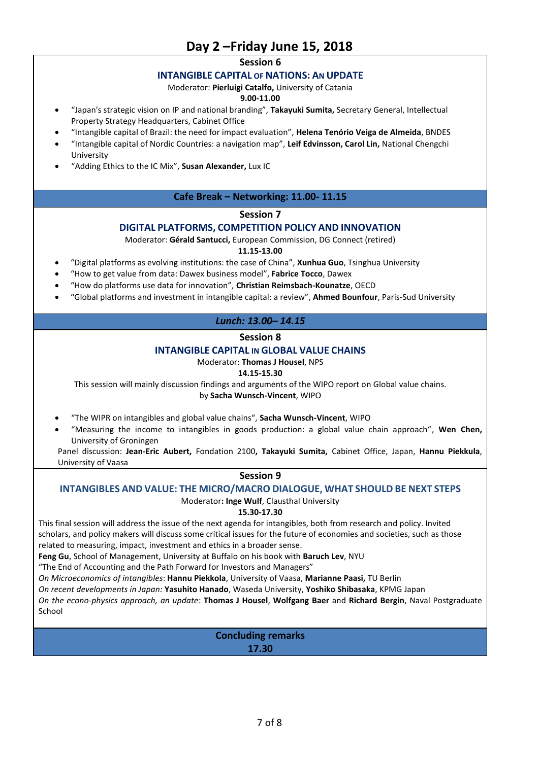# **Day 2 –Friday June 15, 2018**

**Session 6**

#### **INTANGIBLE CAPITAL OF NATIONS: AN UPDATE**

Moderator: **Pierluigi Catalfo,** University of Catania

#### **9.00-11.00**

- "Japan's strategic vision on IP and national branding", **Takayuki Sumita,** Secretary General, Intellectual Property Strategy Headquarters, Cabinet Office
- "Intangible capital of Brazil: the need for impact evaluation", **Helena Tenório Veiga de Almeida**, BNDES
- "Intangible capital of Nordic Countries: a navigation map", **Leif Edvinsson, Carol Lin,** National Chengchi University
- "Adding Ethics to the IC Mix", **Susan Alexander,** Lux IC

#### **Cafe Break – Networking: 11.00- 11.15**

#### **Session 7**

#### **DIGITAL PLATFORMS, COMPETITION POLICY AND INNOVATION**

Moderator: **Gérald Santucci,** European Commission, DG Connect (retired)

#### **11.15-13.00**

- "Digital platforms as evolving institutions: the case of China", **Xunhua Guo**, Tsinghua University
- "How to get value from data: Dawex business model", **Fabrice Tocco**, Dawex
- "How do platforms use data for innovation", **Christian Reimsbach-Kounatze**, OECD
- "Global platforms and investment in intangible capital: a review", **Ahmed Bounfour**, Paris-Sud University

### *Lunch: 13.00– 14.15*

#### **Session 8**

#### **INTANGIBLE CAPITAL IN GLOBAL VALUE CHAINS**

Moderator: **Thomas J Housel**, NPS

#### **14.15-15.30**

This session will mainly discussion findings and arguments of the WIPO report on Global value chains.

by **Sacha Wunsch-Vincent**, WIPO

- "The WIPR on intangibles and global value chains", **Sacha Wunsch-Vincent**, WIPO
- "Measuring the income to intangibles in goods production: a global value chain approach", **Wen Chen,**  University of Groningen

Panel discussion: **Jean-Eric Aubert,** Fondation 2100**, Takayuki Sumita,** Cabinet Office, Japan, **Hannu Piekkula**, University of Vaasa

## **Session 9**

#### **INTANGIBLES AND VALUE: THE MICRO/MACRO DIALOGUE, WHAT SHOULD BE NEXT STEPS**

Moderator**: Inge Wulf**, Clausthal University

**15.30-17.30**

This final session will address the issue of the next agenda for intangibles, both from research and policy. Invited scholars, and policy makers will discuss some critical issues for the future of economies and societies, such as those related to measuring, impact, investment and ethics in a broader sense.

**Feng Gu**, School of Management, University at Buffalo on his book with **Baruch Lev**, NYU

"The End of Accounting and the Path Forward for Investors and Managers"

*On Microeconomics of intangibles*: **Hannu Piekkola**, University of Vaasa, **Marianne Paasi,** TU Berlin

*On recent developments in Japan:* **Yasuhito Hanado**, Waseda University, **Yoshiko Shibasaka**, KPMG Japan

*On the econo-physics approach, an update*: **Thomas J Housel**, **Wolfgang Baer** and **Richard Bergin**, Naval Postgraduate School

> **Concluding remarks 17.30**